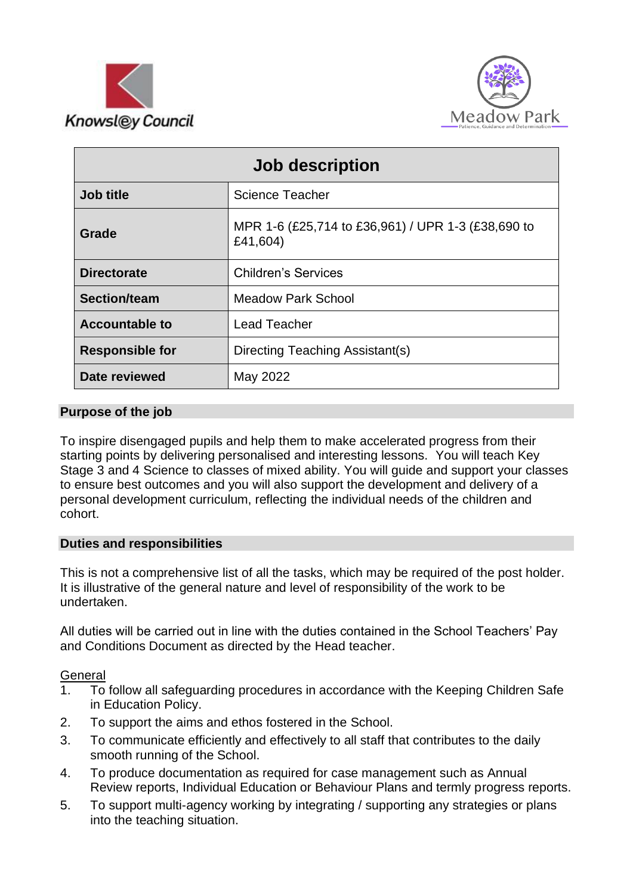



| Job description        |                                                                |
|------------------------|----------------------------------------------------------------|
| Job title              | <b>Science Teacher</b>                                         |
| Grade                  | MPR 1-6 (£25,714 to £36,961) / UPR 1-3 (£38,690 to<br>£41,604) |
| <b>Directorate</b>     | <b>Children's Services</b>                                     |
| <b>Section/team</b>    | <b>Meadow Park School</b>                                      |
| <b>Accountable to</b>  | <b>Lead Teacher</b>                                            |
| <b>Responsible for</b> | Directing Teaching Assistant(s)                                |
| Date reviewed          | May 2022                                                       |

## **Purpose of the job**

To inspire disengaged pupils and help them to make accelerated progress from their starting points by delivering personalised and interesting lessons. You will teach Key Stage 3 and 4 Science to classes of mixed ability. You will guide and support your classes to ensure best outcomes and you will also support the development and delivery of a personal development curriculum, reflecting the individual needs of the children and cohort.

### **Duties and responsibilities**

This is not a comprehensive list of all the tasks, which may be required of the post holder. It is illustrative of the general nature and level of responsibility of the work to be undertaken.

All duties will be carried out in line with the duties contained in the School Teachers' Pay and Conditions Document as directed by the Head teacher.

#### **General**

- 1. To follow all safeguarding procedures in accordance with the Keeping Children Safe in Education Policy.
- 2. To support the aims and ethos fostered in the School.
- 3. To communicate efficiently and effectively to all staff that contributes to the daily smooth running of the School.
- 4. To produce documentation as required for case management such as Annual Review reports, Individual Education or Behaviour Plans and termly progress reports.
- 5. To support multi-agency working by integrating / supporting any strategies or plans into the teaching situation.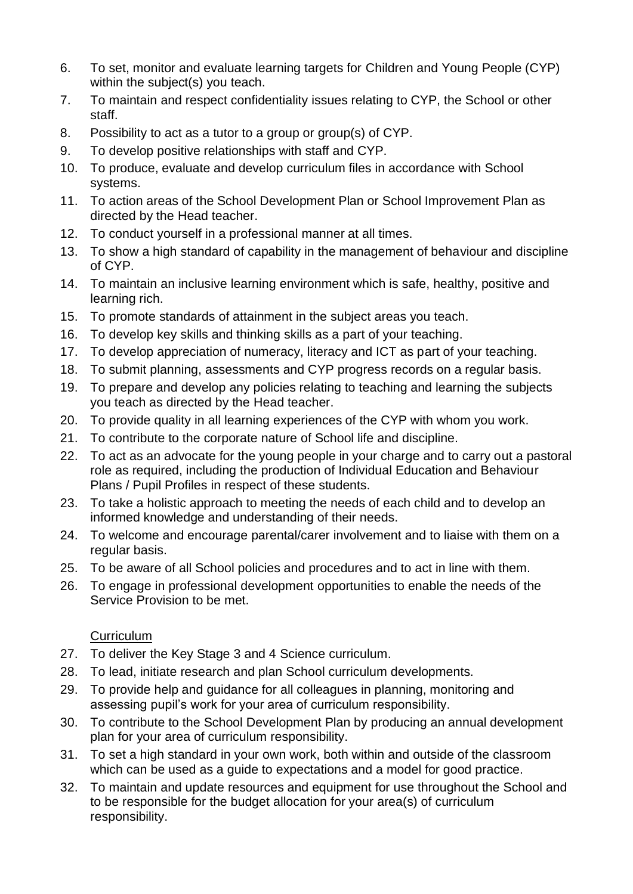- 6. To set, monitor and evaluate learning targets for Children and Young People (CYP) within the subject(s) you teach.
- 7. To maintain and respect confidentiality issues relating to CYP, the School or other staff.
- 8. Possibility to act as a tutor to a group or group(s) of CYP.
- 9. To develop positive relationships with staff and CYP.
- 10. To produce, evaluate and develop curriculum files in accordance with School systems.
- 11. To action areas of the School Development Plan or School Improvement Plan as directed by the Head teacher.
- 12. To conduct yourself in a professional manner at all times.
- 13. To show a high standard of capability in the management of behaviour and discipline of CYP.
- 14. To maintain an inclusive learning environment which is safe, healthy, positive and learning rich.
- 15. To promote standards of attainment in the subject areas you teach.
- 16. To develop key skills and thinking skills as a part of your teaching.
- 17. To develop appreciation of numeracy, literacy and ICT as part of your teaching.
- 18. To submit planning, assessments and CYP progress records on a regular basis.
- 19. To prepare and develop any policies relating to teaching and learning the subjects you teach as directed by the Head teacher.
- 20. To provide quality in all learning experiences of the CYP with whom you work.
- 21. To contribute to the corporate nature of School life and discipline.
- 22. To act as an advocate for the young people in your charge and to carry out a pastoral role as required, including the production of Individual Education and Behaviour Plans / Pupil Profiles in respect of these students.
- 23. To take a holistic approach to meeting the needs of each child and to develop an informed knowledge and understanding of their needs.
- 24. To welcome and encourage parental/carer involvement and to liaise with them on a regular basis.
- 25. To be aware of all School policies and procedures and to act in line with them.
- 26. To engage in professional development opportunities to enable the needs of the Service Provision to be met.

# **Curriculum**

- 27. To deliver the Key Stage 3 and 4 Science curriculum.
- 28. To lead, initiate research and plan School curriculum developments.
- 29. To provide help and guidance for all colleagues in planning, monitoring and assessing pupil's work for your area of curriculum responsibility.
- 30. To contribute to the School Development Plan by producing an annual development plan for your area of curriculum responsibility.
- 31. To set a high standard in your own work, both within and outside of the classroom which can be used as a guide to expectations and a model for good practice.
- 32. To maintain and update resources and equipment for use throughout the School and to be responsible for the budget allocation for your area(s) of curriculum responsibility.